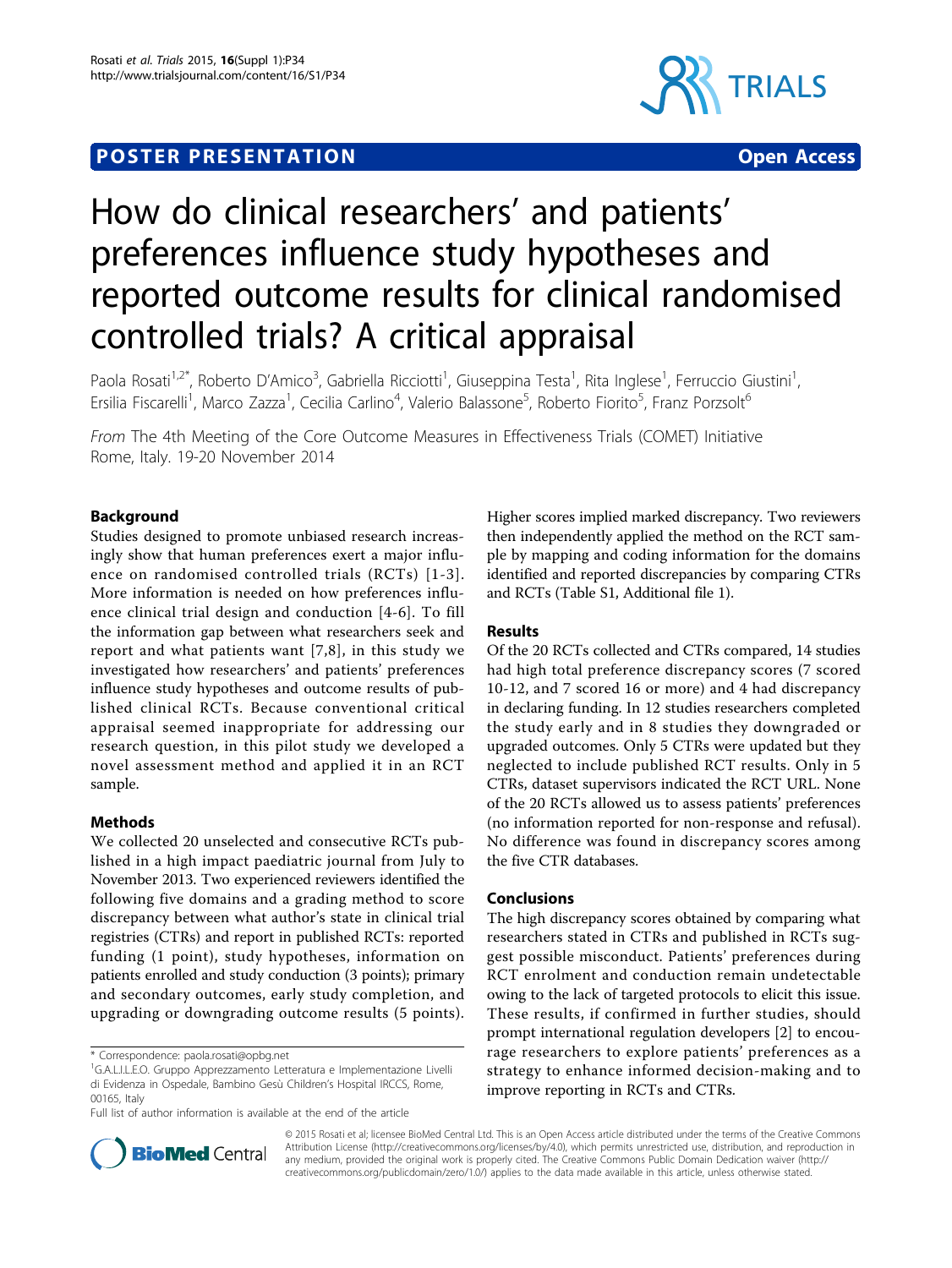# **POSTER PRESENTATION CONSUMING ACCESS**



# How do clinical researchers' and patients' preferences influence study hypotheses and reported outcome results for clinical randomised controlled trials? A critical appraisal

Paola Rosati<sup>1,2\*</sup>, Roberto D'Amico<sup>3</sup>, Gabriella Ricciotti<sup>1</sup>, Giuseppina Testa<sup>1</sup>, Rita Inglese<sup>1</sup>, Ferruccio Giustini<sup>1</sup> , Ersilia Fiscarelli<sup>1</sup>, Marco Zazza<sup>1</sup>, Cecilia Carlino<sup>4</sup>, Valerio Balassone<sup>5</sup>, Roberto Fiorito<sup>5</sup>, Franz Porzsolt<sup>6</sup>

From The 4th Meeting of the Core Outcome Measures in Effectiveness Trials (COMET) Initiative Rome, Italy. 19-20 November 2014

# Background

Studies designed to promote unbiased research increasingly show that human preferences exert a major influence on randomised controlled trials (RCTs) [[1](#page-1-0)-[3\]](#page-1-0). More information is needed on how preferences influence clinical trial design and conduction [\[4](#page-1-0)-[6](#page-1-0)]. To fill the information gap between what researchers seek and report and what patients want [[7,8\]](#page-1-0), in this study we investigated how researchers' and patients' preferences influence study hypotheses and outcome results of published clinical RCTs. Because conventional critical appraisal seemed inappropriate for addressing our research question, in this pilot study we developed a novel assessment method and applied it in an RCT sample.

# **Methods**

We collected 20 unselected and consecutive RCTs published in a high impact paediatric journal from July to November 2013. Two experienced reviewers identified the following five domains and a grading method to score discrepancy between what author's state in clinical trial registries (CTRs) and report in published RCTs: reported funding (1 point), study hypotheses, information on patients enrolled and study conduction (3 points); primary and secondary outcomes, early study completion, and upgrading or downgrading outcome results (5 points).



# Results

Of the 20 RCTs collected and CTRs compared, 14 studies had high total preference discrepancy scores (7 scored 10-12, and 7 scored 16 or more) and 4 had discrepancy in declaring funding. In 12 studies researchers completed the study early and in 8 studies they downgraded or upgraded outcomes. Only 5 CTRs were updated but they neglected to include published RCT results. Only in 5 CTRs, dataset supervisors indicated the RCT URL. None of the 20 RCTs allowed us to assess patients' preferences (no information reported for non-response and refusal). No difference was found in discrepancy scores among the five CTR databases.

# Conclusions

The high discrepancy scores obtained by comparing what researchers stated in CTRs and published in RCTs suggest possible misconduct. Patients' preferences during RCT enrolment and conduction remain undetectable owing to the lack of targeted protocols to elicit this issue. These results, if confirmed in further studies, should prompt international regulation developers [[2\]](#page-1-0) to encourage researchers to explore patients' preferences as a strategy to enhance informed decision-making and to improve reporting in RCTs and CTRs.



© 2015 Rosati et al; licensee BioMed Central Ltd. This is an Open Access article distributed under the terms of the Creative Commons Attribution License [\(http://creativecommons.org/licenses/by/4.0](http://creativecommons.org/licenses/by/4.0)), which permits unrestricted use, distribution, and reproduction in any medium, provided the original work is properly cited. The Creative Commons Public Domain Dedication waiver [\(http://](http://creativecommons.org/publicdomain/zero/1.0/) [creativecommons.org/publicdomain/zero/1.0/](http://creativecommons.org/publicdomain/zero/1.0/)) applies to the data made available in this article, unless otherwise stated.

<sup>\*</sup> Correspondence: [paola.rosati@opbg.net](mailto:paola.rosati@opbg.net)

<sup>&</sup>lt;sup>1</sup>G.A.L.I.L.E.O. Gruppo Apprezzamento Letteratura e Implementazione Livelli di Evidenza in Ospedale, Bambino Gesù Children's Hospital IRCCS, Rome, 00165, Italy

Full list of author information is available at the end of the article